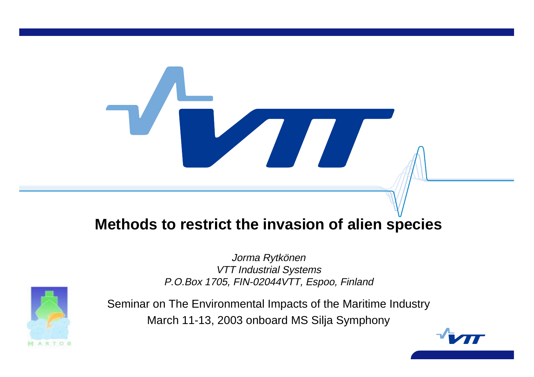# **Methods to restrict the invasion of alien species**

Jorma Rytkönen VTT Industrial Systems P.O.Box 1705, FIN-02044VTT, Espoo, Finland



Seminar on The Environmental Impacts of the Maritime Industry March 11-13, 2003 onboard MS Silja Symphony

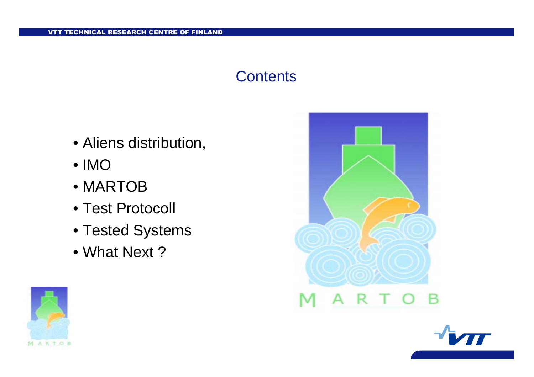## **Contents**

- Aliens distribution,
- IMO
- MARTOB
- Test Protocoll
- Tested Systems
- What Next ?





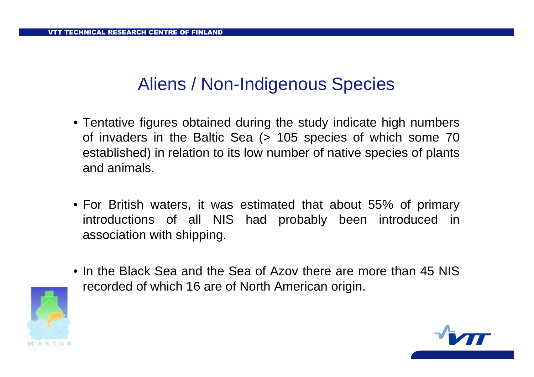# Aliens / Non-Indigenous Species

- Tentative figures obtained during the study indicate high numbers of invaders in the Baltic Sea (> 105 species of which some 70 established) in relation to its low number of native species of plants and animals.
- For British waters, it was estimated that about 55% of primary introductions of all NIS had probably been introduced in association with shipping.
- In the Black Sea and the Sea of Azov there are more than 45 NISrecorded of which 16 are of North American origin.



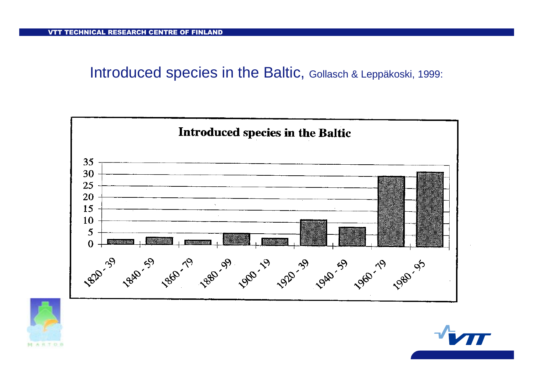Introduced species in the Baltic, Gollasch & Leppäkoski, 1999:





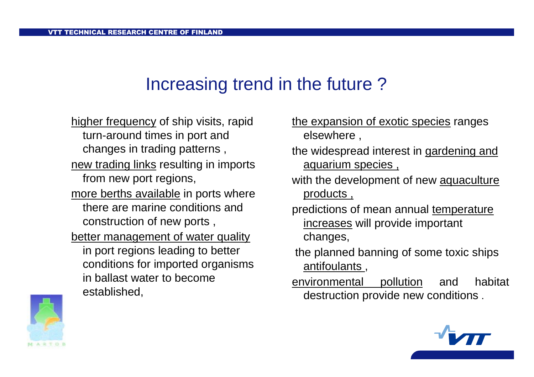# Increasing trend in the future ?

higher frequency of ship visits, rapid turn-around times in port and changes in trading patterns , new trading links resulting in imports from new port regions, <u>more berths available</u> in ports where there are marine conditions andconstruction of new ports , better management of water quality in port regions leading to better conditions for imported organisms in ballast water to becomeestablished,



- the widespread interest in gardening and aquarium species ,
- with the development of new aquaculture products ,
- predictions of mean annual temperature increases will provide important changes,
- the planned banning of some toxic ships antifoulants ,
- environmental pollution and habitat destruction provide new conditions .



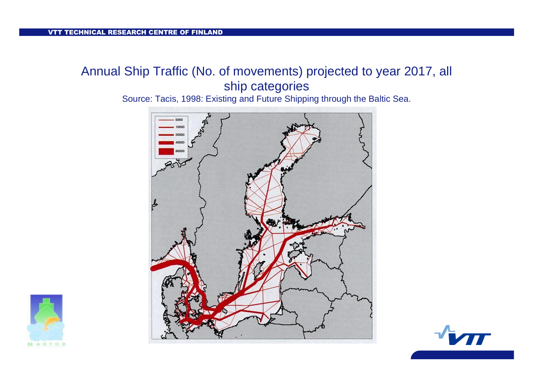### Annual Ship Traffic (No. of movements) projected to year 2017, all ship categories

Source: Tacis, 1998: Existing and Future Shipping through the Baltic Sea.





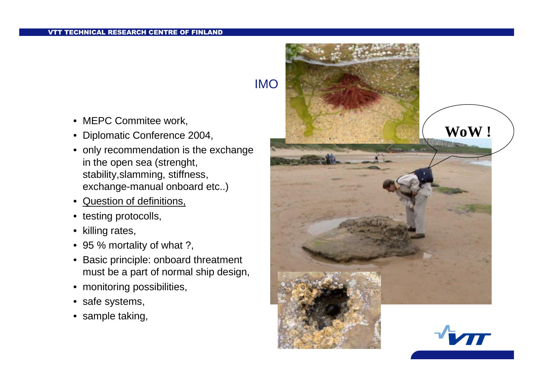- MEPC Commitee work,
- Diplomatic Conference 2004,
- only recommendation is the exchange in the open sea (strenght, stability,slamming, stiffness, exchange-manual onboard etc..)
- $\bullet$ Question of definitions,
- testing protocolls,
- killing rates,
- 95 % mortality of what ?,
- Basic principle: onboard threatment must be <sup>a</sup> part of normal ship design,
- monitoring possibilities,
- safe systems,
- sample taking,

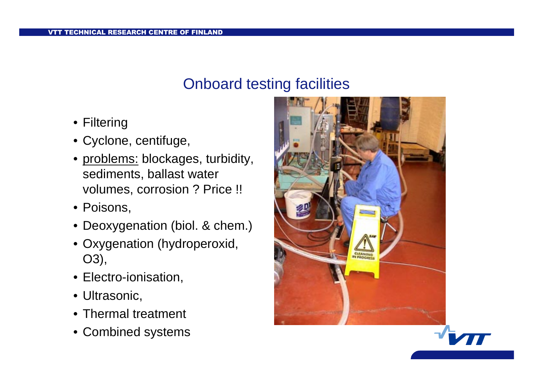## Onboard testing facilities

- Filtering
- Cyclone, centifuge,
- problems: blockages, turbidity, sediments, ballast water volumes, corrosion ? Price !!
- Poisons,
- Deoxygenation (biol. & chem.)
- Oxygenation (hydroperoxid, O3),
- Electro-ionisation,
- Ultrasonic,
- Thermal treatment
- Combined systems



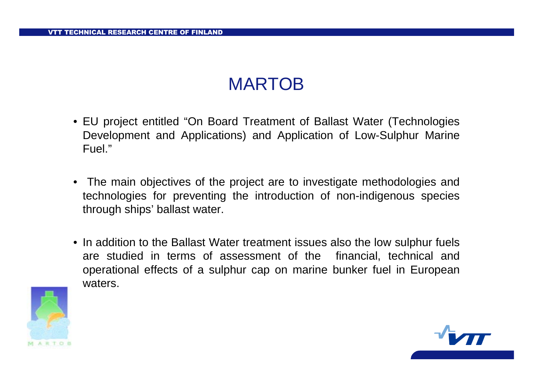# MARTOB

- EU project entitled "On Board Treatment of Ballast Water (Technologies Development and Applications) and Application of Low-Sulphur Marine Fuel."
- The main objectives of the project are to investigate methodologies and technologies for preventing the introduction of non-indigenous species through ships' ballast water.
- In addition to the Ballast Water treatment issues also the low sulphur fuels are studied in terms of assessment of the financial, technical and operational effects of <sup>a</sup> sulphur cap on marine bunker fuel in European waters.



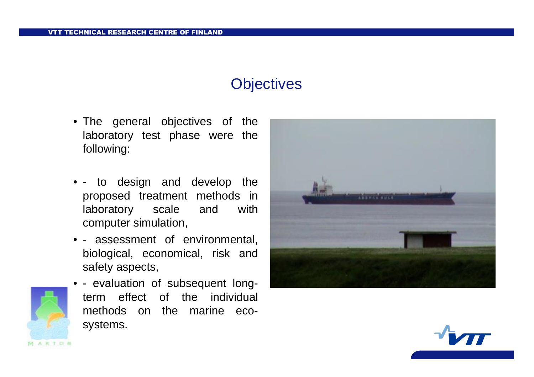# **Objectives**

- The general objectives of the laboratory test phase were the following:
- - to design and develop the proposed treatment methods in laboratory scale and with computer simulation,
- - assessment of environmental, biological, economical, risk and safety aspects,
- - evaluation of subsequent longterm effect of the individual methods on the marine ecosystems.

RTOB



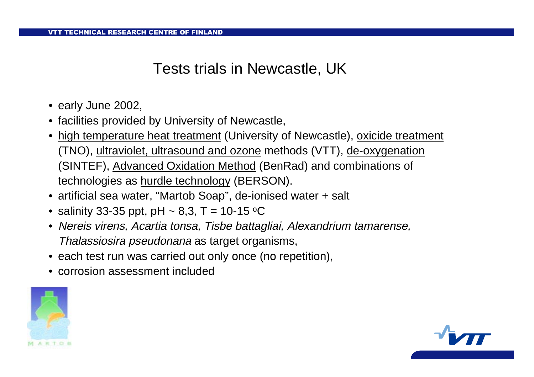## Tests trials in Newcastle, UK

- early June 2002,
- facilities provided by University of Newcastle,
- $\bullet\,$  <u>high temperature heat treatment</u> (University of Newcastle), <u>oxicide treatment</u> (TNO), ultraviolet, ultrasound and ozone methods (VTT), de-oxygenation (SINTEF), Advanced Oxidation Method (BenRad) and combinations of technologies as hurdle technology (BERSON).
- artificial sea water, "Martob Soap", de-ionised water <sup>+</sup> salt
- $\bullet\,$  salinity 33-35 ppt, pH  $\sim$  8,3, T = 10-15  $\rm ^{o}C$
- Nereis virens, Acartia tonsa, Tisbe battagliai, Alexandrium tamarense, Thalassiosira pseudonana as target organisms,
- each test run was carried out only once (no repetition),
- corrosion assessment included



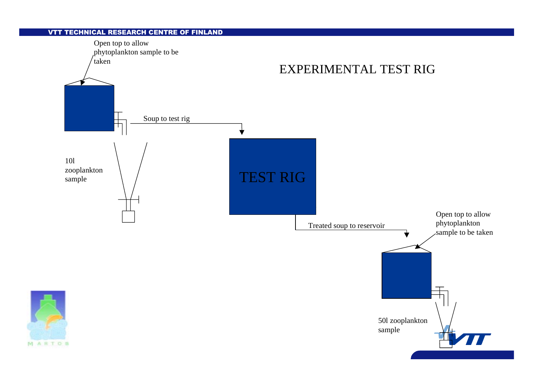#### VTT TECHNICAL RESEARCH CENTRE OF FINLAND

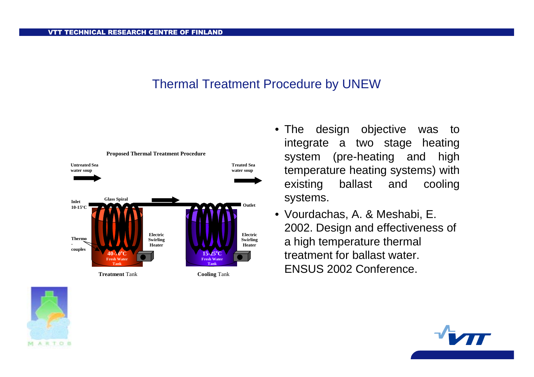#### Thermal Treatment Procedure by UNEW





• Vourdachas, A. & Meshabi, E. 2002. Design and effectiveness of <sup>a</sup> high temperature thermal treatment for ballast water. ENSUS 2002 Conference.



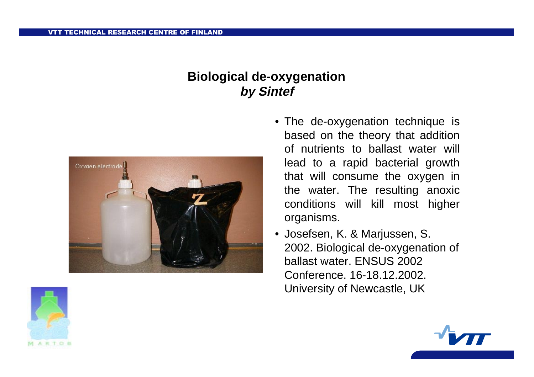### **Biological de-oxygenation by Sintef**



- The de-oxygenation technique is based on the theory that addition of nutrients to ballast water will lead to <sup>a</sup> rapid bacterial growth that will consume the oxygen in the water. The resulting anoxic conditions will kill most higher organisms.
- Josefsen, K. & Marjussen, S. 2002. Biological de-oxygenation of ballast water. ENSUS 2002Conference. 16-18.12.2002. University of Newcastle, UK



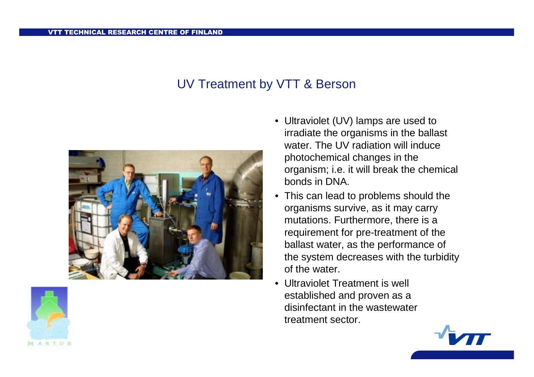#### UV Treatment by VTT & Berson





- Ultraviolet (UV) lamps are used to irradiate the organisms in the ballast water. The UV radiation will induce photochemical changes in the organism; i.e. it will break the chemical bonds in DNA.
- $\bullet$  This can lead to problems should the organisms survive, as it may carry mutations. Furthermore, there is <sup>a</sup> requirement for pre-treatment of the ballast water, as the performance of the system decreases with the turbidity of the water.
- • Ultraviolet Treatment is well established and proven as <sup>a</sup> disinfectant in the wastewatertreatment sector.

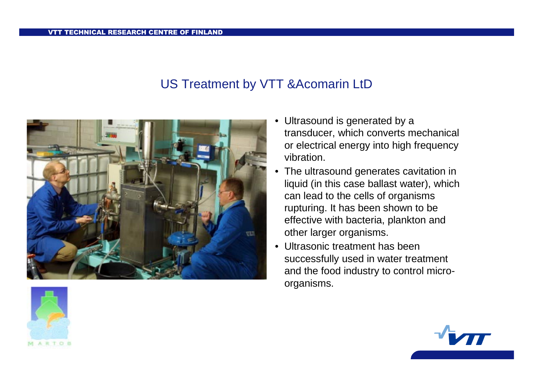#### US Treatment by VTT &Acomarin LtD



- Ultrasound is generated by <sup>a</sup> transducer, which converts mechanical or electrical energy into high frequency vibration.
- • The ultrasound generates cavitation in liquid (in this case ballast water), which can lead to the cells of organisms rupturing. It has been shown to be effective with bacteria, plankton and other larger organisms.
- Ultrasonic treatment has beensuccessfully used in water treatment and the food industry to control microorganisms.



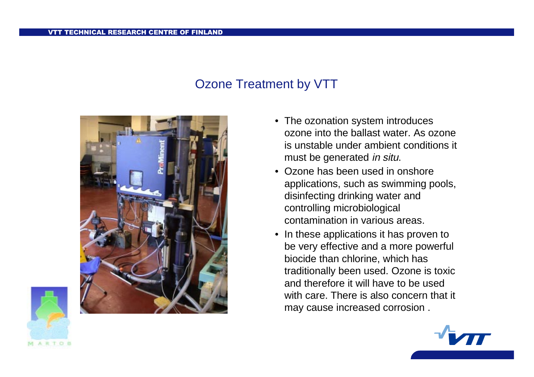#### Ozone Treatment by VTT



- The ozonation system introduces ozone into the ballast water. As ozoneis unstable under ambient conditions it must be generated in situ.
- Ozone has been used in onshoreapplications, such as swimming pools, disinfecting drinking water and controlling microbiological contamination in various areas.
- In these applications it has proven to be very effective and <sup>a</sup> more powerful biocide than chlorine, which has traditionally been used. Ozone is toxic and therefore it will have to be usedwith care. There is also concern that it may cause increased corrosion .



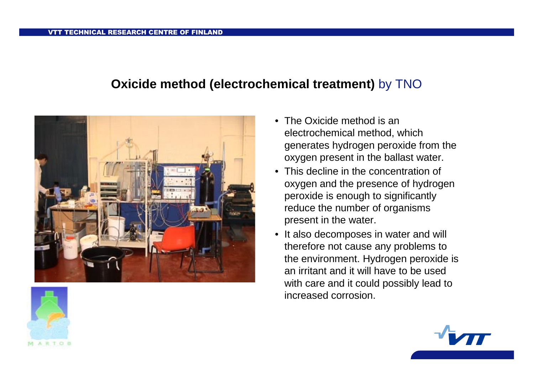#### **Oxicide method (electrochemical treatment)** by TNO



- The Oxicide method is anelectrochemical method, which generates hydrogen peroxide from the oxygen present in the ballast water.
- This decline in the concentration of oxygen and the presence of hydrogen peroxide is enough to significantly reduce the number of organisms present in the water.
- It also decomposes in water and will therefore not cause any problems to the environment. Hydrogen peroxide is an irritant and it will have to be usedwith care and it could possibly lead to increased corrosion.



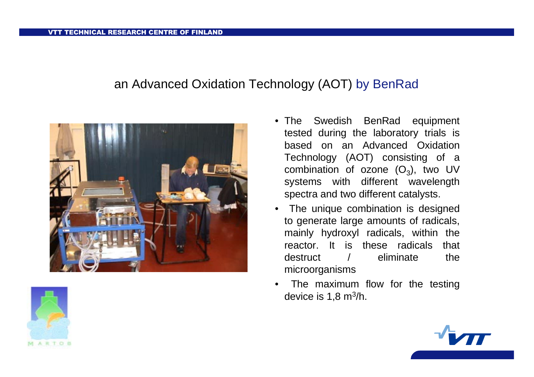#### an Advanced Oxidation Technology (AOT) by BenRad





- The Swedish BenRad equipment tested during the laboratory trials is based on an Advanced OxidationTechnology (AOT) consisting of <sup>a</sup> combination of ozone (O $_3$ ), two UV systems with different wavelength spectra and two different catalysts.
- The unique combination is designed to generate large amounts of radicals, mainly hydroxyl radicals, within the reactor. It is these radicals that destruct / eliminate the microorganisms
- • The maximum flow for the testing device is 1,8 <sup>m</sup> 3/h.

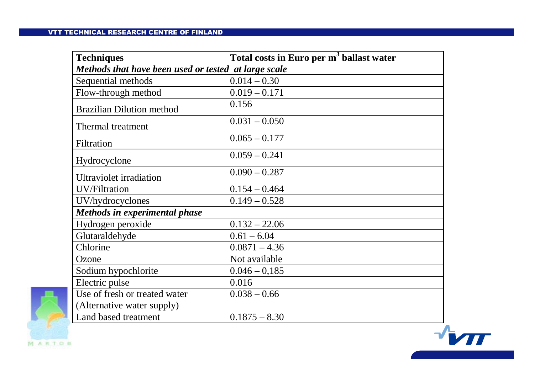#### VTT TECHNICAL RESEARCH CENTRE OF FINLAND

| <b>Techniques</b>                                    | Total costs in Euro per m <sup>3</sup> ballast water |
|------------------------------------------------------|------------------------------------------------------|
| Methods that have been used or tested at large scale |                                                      |
| Sequential methods                                   | $0.014 - 0.30$                                       |
| Flow-through method                                  | $0.019 - 0.171$                                      |
| <b>Brazilian Dilution method</b>                     | 0.156                                                |
| Thermal treatment                                    | $0.031 - 0.050$                                      |
| Filtration                                           | $0.065 - 0.177$                                      |
| Hydrocyclone                                         | $0.059 - 0.241$                                      |
| <b>Ultraviolet</b> irradiation                       | $0.090 - 0.287$                                      |
| <b>UV/Filtration</b>                                 | $0.154 - 0.464$                                      |
| UV/hydrocyclones                                     | $0.149 - 0.528$                                      |
| <b>Methods in experimental phase</b>                 |                                                      |
| Hydrogen peroxide                                    | $0.132 - 22.06$                                      |
| Glutaraldehyde                                       | $0.61 - 6.04$                                        |
| Chlorine                                             | $0.0871 - 4.36$                                      |
| Ozone                                                | Not available                                        |
| Sodium hypochlorite                                  | $0.046 - 0.185$                                      |
| Electric pulse                                       | 0.016                                                |
| Use of fresh or treated water                        | $0.038 - 0.66$                                       |
| (Alternative water supply)                           |                                                      |
| Land based treatment                                 | $0.1875 - 8.30$                                      |



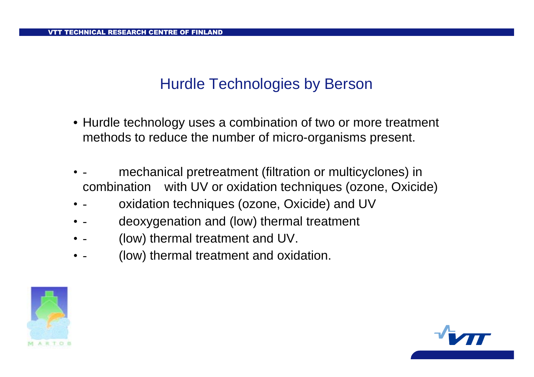# Hurdle Technologies by Berson

- Hurdle technology uses <sup>a</sup> combination of two or more treatment methods to reduce the number of micro-organisms present.
- • mechanical pretreatment (filtration or multicyclones) in combination with UV or oxidation techniques (ozone, Oxicide)
- • oxidation techniques (ozone, Oxicide) and UV
- • deoxygenation and (low) thermal treatment
- • -(low) thermal treatment and UV.
- • -(low) thermal treatment and oxidation.